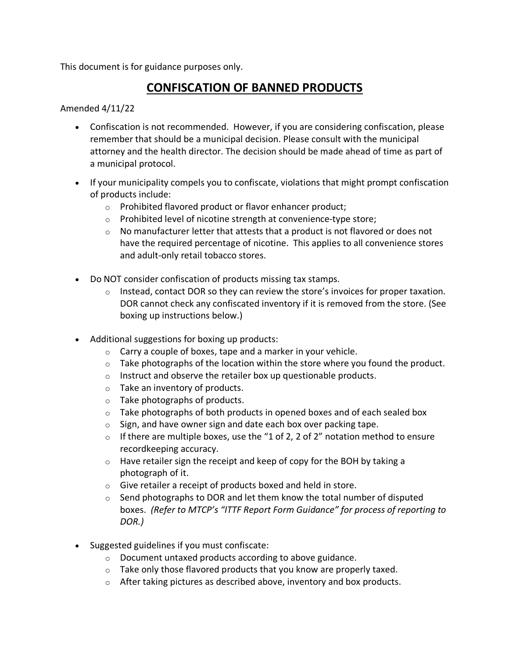This document is for guidance purposes only.

## **CONFISCATION OF BANNED PRODUCTS**

Amended 4/11/22

- Confiscation is not recommended. However, if you are considering confiscation, please remember that should be a municipal decision. Please consult with the municipal attorney and the health director. The decision should be made ahead of time as part of a municipal protocol.
- If your municipality compels you to confiscate, violations that might prompt confiscation of products include:
	- o Prohibited flavored product or flavor enhancer product;
	- o Prohibited level of nicotine strength at convenience-type store;
	- $\circ$  No manufacturer letter that attests that a product is not flavored or does not have the required percentage of nicotine. This applies to all convenience stores and adult-only retail tobacco stores.
- Do NOT consider confiscation of products missing tax stamps.
	- $\circ$  Instead, contact DOR so they can review the store's invoices for proper taxation. DOR cannot check any confiscated inventory if it is removed from the store. (See boxing up instructions below.)
- Additional suggestions for boxing up products:
	- $\circ$  Carry a couple of boxes, tape and a marker in your vehicle.
	- $\circ$  Take photographs of the location within the store where you found the product.
	- o Instruct and observe the retailer box up questionable products.
	- o Take an inventory of products.
	- o Take photographs of products.
	- $\circ$  Take photographs of both products in opened boxes and of each sealed box
	- $\circ$  Sign, and have owner sign and date each box over packing tape.
	- $\circ$  If there are multiple boxes, use the "1 of 2, 2 of 2" notation method to ensure recordkeeping accuracy.
	- o Have retailer sign the receipt and keep of copy for the BOH by taking a photograph of it.
	- o Give retailer a receipt of products boxed and held in store.
	- $\circ$  Send photographs to DOR and let them know the total number of disputed boxes. *(Refer to MTCP's "ITTF Report Form Guidance" for process of reporting to DOR.)*
- Suggested guidelines if you must confiscate:
	- o Document untaxed products according to above guidance.
	- $\circ$  Take only those flavored products that you know are properly taxed.
	- o After taking pictures as described above, inventory and box products.